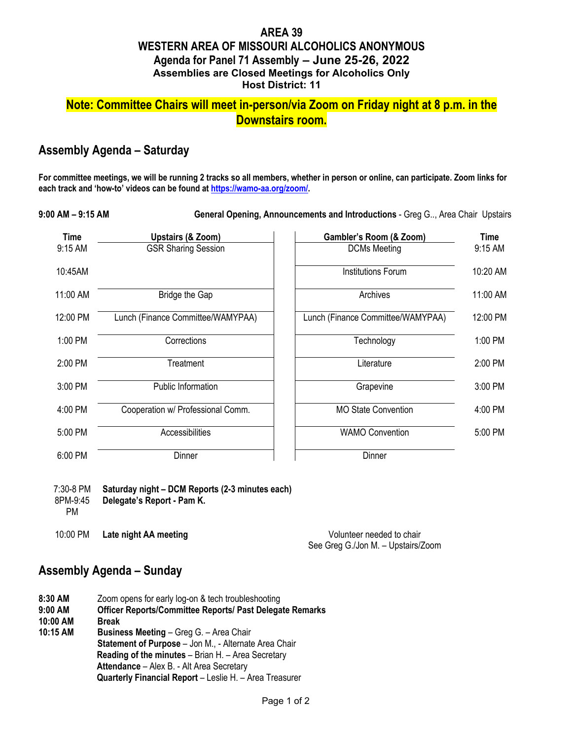### **AREA 39 WESTERN AREA OF MISSOURI ALCOHOLICS ANONYMOUS Agenda for Panel 71 Assembly – June 25-26, 2022 Assemblies are Closed Meetings for Alcoholics Only Host District: 11**

# **Note: Committee Chairs will meet in-person/via Zoom on Friday night at 8 p.m. in the Downstairs room.**

### **Assembly Agenda – Saturday**

**For committee meetings, we will be running 2 tracks so all members, whether in person or online, can participate. Zoom links for each track and 'how-to' videos can be found at [https://wamo-aa.org/zoom/.](https://wamo-aa.org/zoom/)** 

**9:00 AM – 9:15 AM General Opening, Announcements and Introductions** - Greg G.., Area Chair Upstairs

| <b>Time</b> | Upstairs (& Zoom)                 | Gambler's Room (& Zoom)           | <b>Time</b> |
|-------------|-----------------------------------|-----------------------------------|-------------|
| 9:15 AM     | <b>GSR Sharing Session</b>        | <b>DCMs Meeting</b>               | 9:15 AM     |
| 10:45AM     |                                   | <b>Institutions Forum</b>         | 10:20 AM    |
| 11:00 AM    | <b>Bridge the Gap</b>             | Archives                          | 11:00 AM    |
| 12:00 PM    | Lunch (Finance Committee/WAMYPAA) | Lunch (Finance Committee/WAMYPAA) | 12:00 PM    |
| 1:00 PM     | Corrections                       | Technology                        | 1:00 PM     |
| 2:00 PM     | Treatment                         | Literature                        | 2:00 PM     |
| 3:00 PM     | <b>Public Information</b>         | Grapevine                         | 3:00 PM     |
| 4:00 PM     | Cooperation w/ Professional Comm. | <b>MO State Convention</b>        | 4:00 PM     |
| 5:00 PM     | <b>Accessibilities</b>            | <b>WAMO Convention</b>            | 5:00 PM     |
| 6:00 PM     | Dinner                            | Dinner                            |             |

| 7:30-8 PM<br>8PM-9:45<br>РM | Saturday night - DCM Reports (2-3 minutes each)<br>Delegate's Report - Pam K. |
|-----------------------------|-------------------------------------------------------------------------------|
| $10:00 \text{ PM}$          | Late night AA meeting                                                         |

10:00 PM **Late night AA meeting** Volunteer needed to chair See Greg G./Jon M. – Upstairs/Zoom

# **Assembly Agenda – Sunday**

**8:30 AM** Zoom opens for early log-on & tech troubleshooting **9:00 AM Officer Reports/Committee Reports/ Past Delegate Remarks 10:00 AM Break Business Meeting** – Greg G. – Area Chair **Statement of Purpose** – Jon M., - Alternate Area Chair **Reading of the minutes** – Brian H. – Area Secretary **Attendance** – Alex B. - Alt Area Secretary **Quarterly Financial Report** – Leslie H. – Area Treasurer